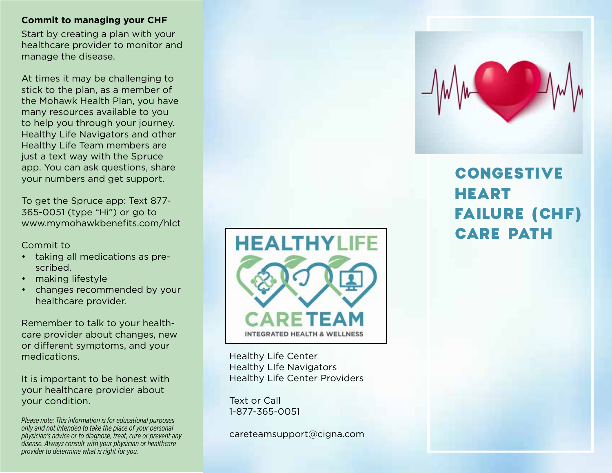#### **Commit to managing your CHF**

Start by creating a plan with your healthcare provider to monitor and manage the disease.

At times it may be challenging to stick to the plan, as a member of the Mohawk Health Plan, you have many resources available to you to help you through your journey. Healthy Life Navigators and other Healthy Life Team members are just a text way with the Spruce app. You can ask questions, share your numbers and get support.

To get the Spruce app: Text 877- 365-0051 (type "Hi") or go to www.mymohawkbenefits.com/hlct

#### Commit to

- taking all medications as prescribed.
- making lifestyle
- changes recommended by your healthcare provider.

Remember to talk to your healthcare provider about changes, new or different symptoms, and your medications.

It is important to be honest with your healthcare provider about your condition.

*Please note: This information is for educational purposes only and not intended to take the place of your personal physician's advice or to diagnose, treat, cure or prevent any disease. Always consult with your physician or healthcare provider to determine what is right for you.*



Healthy Life Center Healthy LIfe Navigators Healthy Life Center Providers

Text or Call 1-877-365-0051

careteamsupport@cigna.com



# CONGESTIVE HEART FAILURE (CHF) CARE PATH